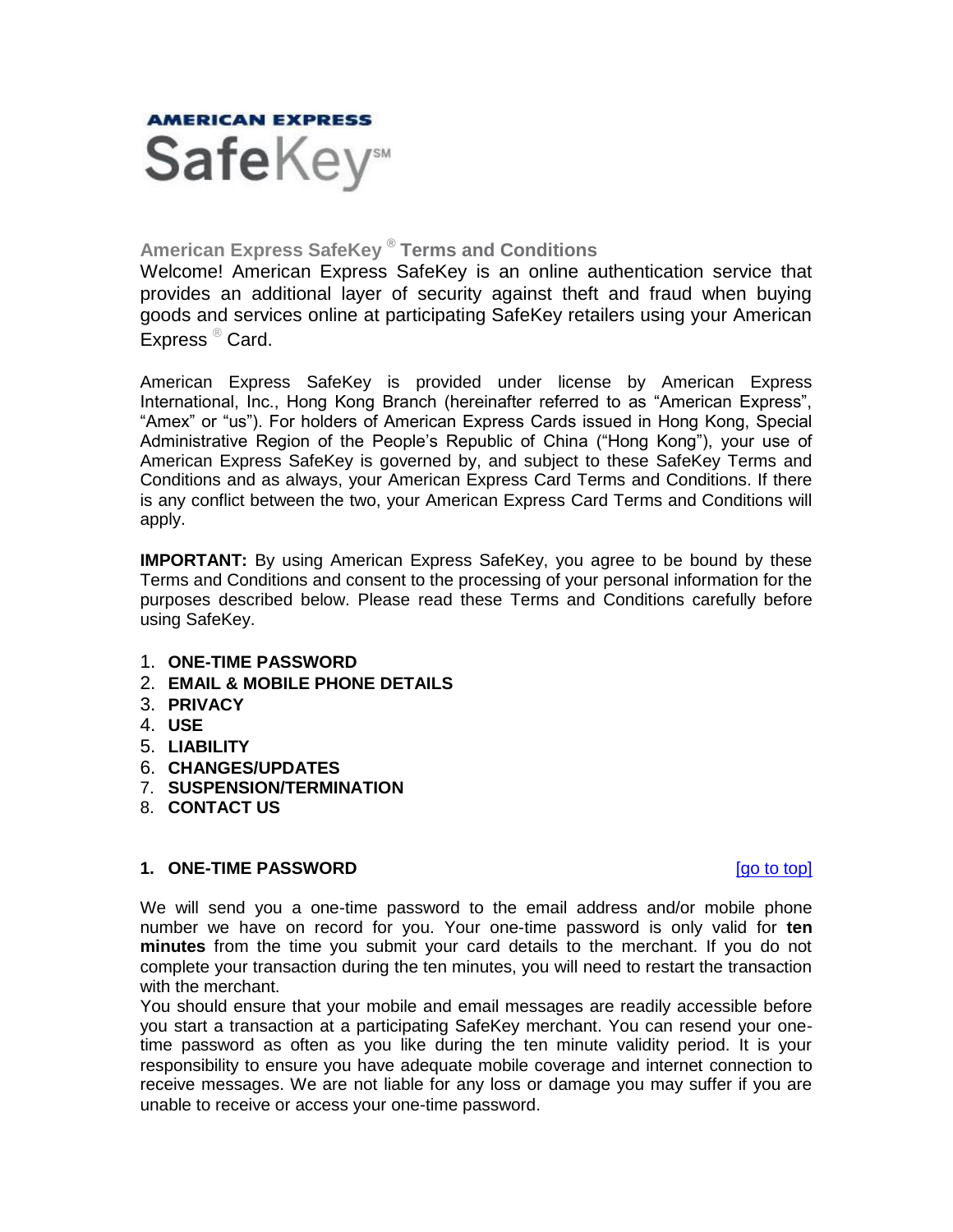<span id="page-0-1"></span>

# **American Express SafeKey ® Terms and Conditions**

Welcome! American Express SafeKey is an online authentication service that provides an additional layer of security against theft and fraud when buying goods and services online at participating SafeKey retailers using your American Express ® Card.

American Express SafeKey is provided under license by American Express International, Inc., Hong Kong Branch (hereinafter referred to as "American Express", "Amex" or "us"). For holders of American Express Cards issued in Hong Kong, Special Administrative Region of the People's Republic of China ("Hong Kong"), your use of American Express SafeKey is governed by, and subject to these SafeKey Terms and Conditions and as always, your American Express Card Terms and Conditions. If there is any conflict between the two, your American Express Card Terms and Conditions will apply.

**IMPORTANT:** By using American Express SafeKey, you agree to be bound by these Terms and Conditions and consent to the processing of your personal information for the purposes described below. Please read these Terms and Conditions carefully before using SafeKey.

- 1. **[ONE-TIME PASSWORD](#page-0-0)**
- 2. **[EMAIL & MOBILE PHONE DETAILS](#page-1-0)**
- 3. **[PRIVACY](#page-1-1)**
- 4. **[USE](#page-2-0)**
- 5. **[LIABILITY](#page-2-1)**
- 6. **[CHANGES/UPDATES](#page-2-2)**
- 7. **[SUSPENSION/TERMINATION](#page-3-0)**
- 8. **[CONTACT US](#page-3-1)**

## <span id="page-0-0"></span>**1. ONE-TIME PASSWORD 1. ONE-TIME PASSWORD**

We will send you a one-time password to the email address and/or mobile phone number we have on record for you. Your one-time password is only valid for **ten minutes** from the time you submit your card details to the merchant. If you do not complete your transaction during the ten minutes, you will need to restart the transaction with the merchant.

You should ensure that your mobile and email messages are readily accessible before you start a transaction at a participating SafeKey merchant. You can resend your onetime password as often as you like during the ten minute validity period. It is your responsibility to ensure you have adequate mobile coverage and internet connection to receive messages. We are not liable for any loss or damage you may suffer if you are unable to receive or access your one-time password.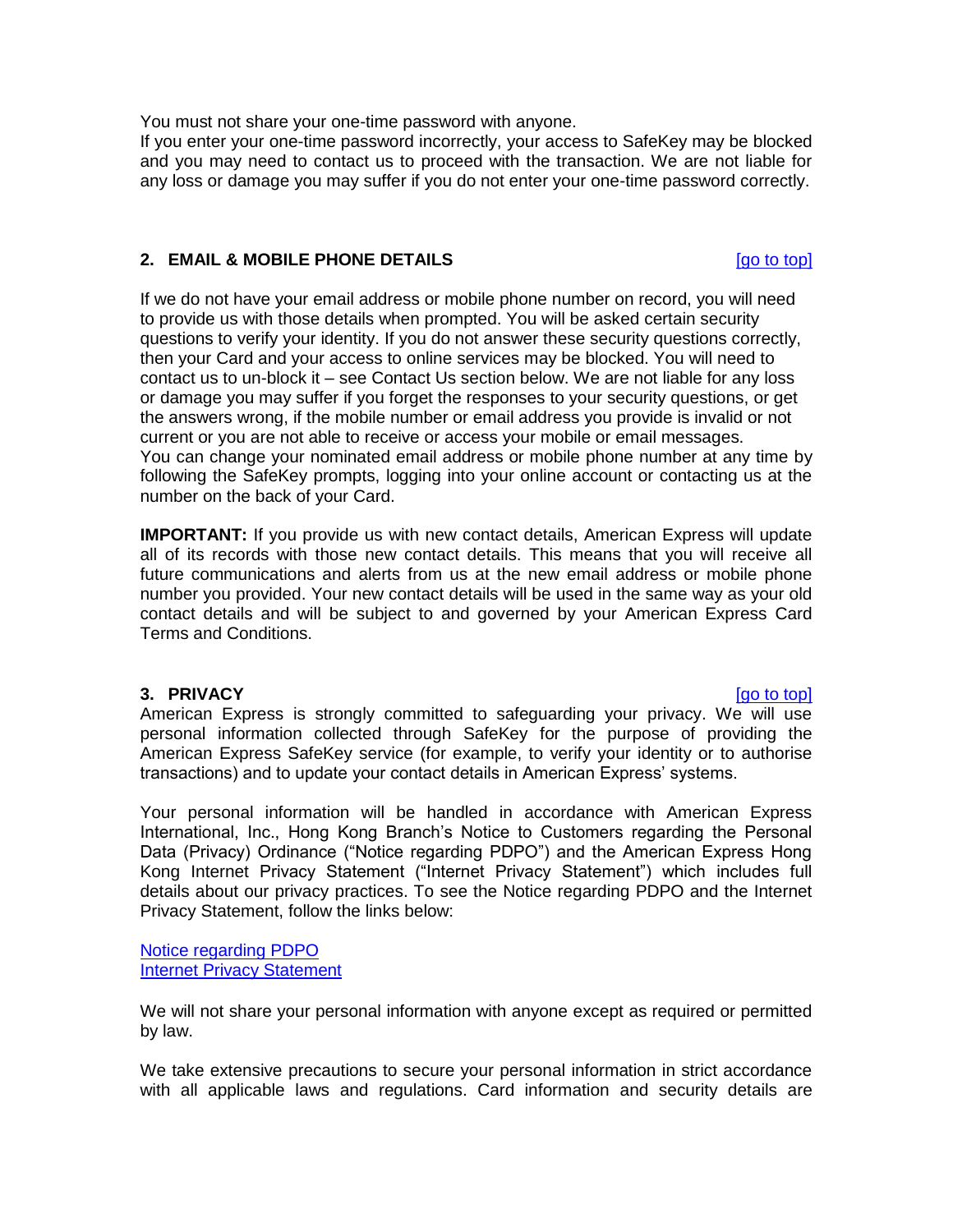You must not share your one-time password with anyone.

If you enter your one-time password incorrectly, your access to SafeKey may be blocked and you may need to contact us to proceed with the transaction. We are not liable for any loss or damage you may suffer if you do not enter your one-time password correctly.

### <span id="page-1-0"></span>**2. EMAIL & MOBILE PHONE DETAILS** [\[go to top\]](#page-0-1)

If we do not have your email address or mobile phone number on record, you will need to provide us with those details when prompted. You will be asked certain security questions to verify your identity. If you do not answer these security questions correctly, then your Card and your access to online services may be blocked. You will need to contact us to un-block it – see Contact Us section below. We are not liable for any loss or damage you may suffer if you forget the responses to your security questions, or get the answers wrong, if the mobile number or email address you provide is invalid or not current or you are not able to receive or access your mobile or email messages. You can change your nominated email address or mobile phone number at any time by following the SafeKey prompts, logging into your online account or contacting us at the number on the back of your Card.

**IMPORTANT:** If you provide us with new contact details, American Express will update all of its records with those new contact details. This means that you will receive all future communications and alerts from us at the new email address or mobile phone number you provided. Your new contact details will be used in the same way as your old contact details and will be subject to and governed by your American Express Card Terms and Conditions.

## <span id="page-1-1"></span>**3. PRIVACY** [\[go to top\]](#page-0-1)

American Express is strongly committed to safeguarding your privacy. We will use personal information collected through SafeKey for the purpose of providing the American Express SafeKey service (for example, to verify your identity or to authorise transactions) and to update your contact details in American Express' systems.

Your personal information will be handled in accordance with American Express International, Inc., Hong Kong Branch's Notice to Customers regarding the Personal Data (Privacy) Ordinance ("Notice regarding PDPO") and the American Express Hong Kong Internet Privacy Statement ("Internet Privacy Statement") which includes full details about our privacy practices. To see the Notice regarding PDPO and the Internet Privacy Statement, follow the links below:

[Notice regarding PDPO](https://www.americanexpress.com/hk/en/content/personal-information-collection-statement.html?inav=hk_footer_personinfo) [Internet Privacy](https://www.americanexpress.com/hk/en/content/internet-privacy-statement.html?inav=hk_footer_privacy) Statement

We will not share your personal information with anyone except as required or permitted by law.

We take extensive precautions to secure your personal information in strict accordance with all applicable laws and regulations. Card information and security details are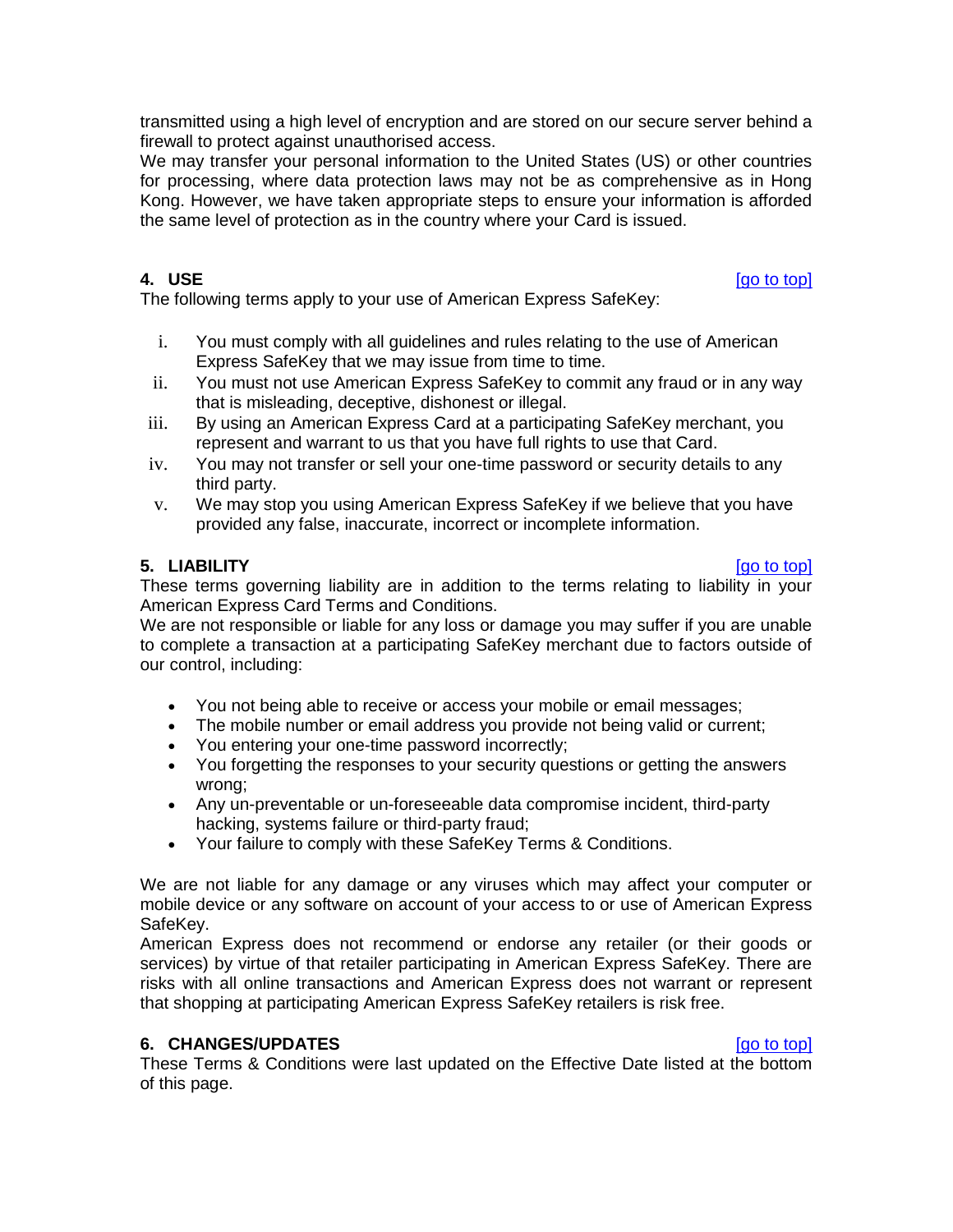transmitted using a high level of encryption and are stored on our secure server behind a firewall to protect against unauthorised access.

We may transfer your personal information to the United States (US) or other countries for processing, where data protection laws may not be as comprehensive as in Hong Kong. However, we have taken appropriate steps to ensure your information is afforded the same level of protection as in the country where your Card is issued.

<span id="page-2-0"></span>**4. USE** [\[go to top\]](#page-0-1)

The following terms apply to your use of American Express SafeKey:

- i. You must comply with all guidelines and rules relating to the use of American Express SafeKey that we may issue from time to time.
- ii. You must not use American Express SafeKey to commit any fraud or in any way that is misleading, deceptive, dishonest or illegal.
- iii. By using an American Express Card at a participating SafeKey merchant, you represent and warrant to us that you have full rights to use that Card.
- iv. You may not transfer or sell your one-time password or security details to any third party.
- v. We may stop you using American Express SafeKey if we believe that you have provided any false, inaccurate, incorrect or incomplete information.

## <span id="page-2-1"></span>**5. LIABILITY** [\[go to top\]](#page-0-1)

These terms governing liability are in addition to the terms relating to liability in your American Express Card Terms and Conditions.

We are not responsible or liable for any loss or damage you may suffer if you are unable to complete a transaction at a participating SafeKey merchant due to factors outside of our control, including:

- You not being able to receive or access your mobile or email messages;
- The mobile number or email address you provide not being valid or current;
- You entering your one-time password incorrectly;
- You forgetting the responses to your security questions or getting the answers wrong;
- Any un-preventable or un-foreseeable data compromise incident, third-party hacking, systems failure or third-party fraud;
- Your failure to comply with these SafeKey Terms & Conditions.

We are not liable for any damage or any viruses which may affect your computer or mobile device or any software on account of your access to or use of American Express SafeKey.

American Express does not recommend or endorse any retailer (or their goods or services) by virtue of that retailer participating in American Express SafeKey. There are risks with all online transactions and American Express does not warrant or represent that shopping at participating American Express SafeKey retailers is risk free.

## <span id="page-2-2"></span>**6. CHANGES/UPDATES 10.1 CHANGES 10.1 CHANGES**

These Terms & Conditions were last updated on the Effective Date listed at the bottom of this page.